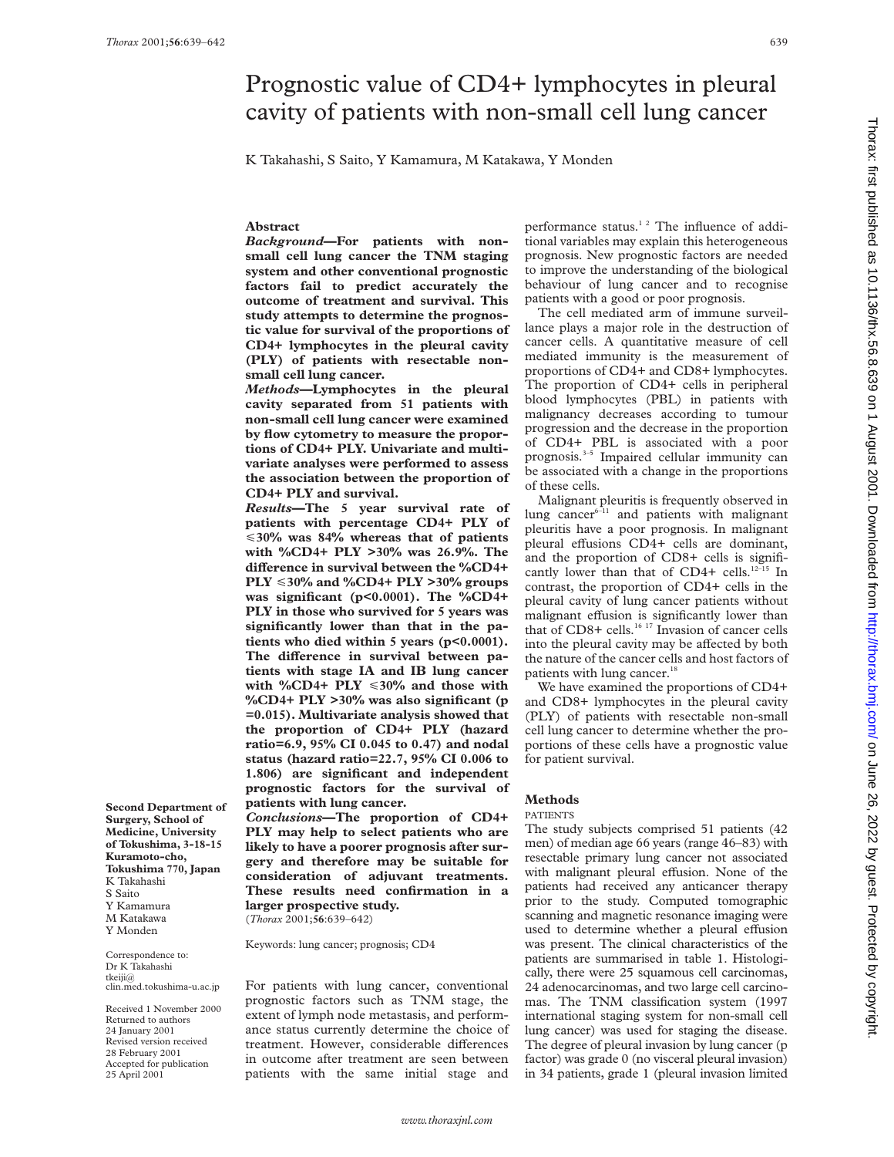Thorax: first published as 10.1136/thx.56.8.639 on 1 August 2001. Downloaded from http://thorax.bmj.com/ on June 26, 2022 by guest. Protected by copyright Thorax: first published as 10.1136/thx. Bublished by copyright. <http://thorax.bmj.com/> Dublisht. http://thorax.bugi. http://thorax.bugi. Downloaded as 10.1136/th. First as 10.1136/thx.56.8.699 on 1 August 2001. Downloaded

# Prognostic value of CD4+ lymphocytes in pleural cavity of patients with non-small cell lung cancer

K Takahashi, S Saito, Y Kamamura, M Katakawa, Y Monden

# **Abstract**

*Background***—For patients with nonsmall cell lung cancer the TNM staging system and other conventional prognostic factors fail to predict accurately the outcome of treatment and survival. This study attempts to determine the prognostic value for survival of the proportions of CD4+ lymphocytes in the pleural cavity (PLY) of patients with resectable nonsmall cell lung cancer.**

*Methods***—Lymphocytes in the pleural cavity separated from 51 patients with non-small cell lung cancer were examined by flow cytometry to measure the proportions of CD4+ PLY. Univariate and multivariate analyses were performed to assess the association between the proportion of CD4+ PLY and survival.**

*Results***—The 5 year survival rate of patients with percentage CD4+ PLY of** <**30% was 84% whereas that of patients with %CD4+ PLY >30% was 26.9%. The diVerence in survival between the %CD4+ PLY** <**30% and %CD4+ PLY >30% groups was significant (p<0.0001). The %CD4+ PLY in those who survived for 5 years was significantly lower than that in the patients who died within 5 years (p<0.0001).** The difference in survival between pa**tients with stage IA and IB lung cancer with %CD4+ PLY** <**30% and those with %CD4+ PLY >30% was also significant (p =0.015). Multivariate analysis showed that the proportion of CD4+ PLY (hazard ratio=6.9, 95% CI 0.045 to 0.47) and nodal status (hazard ratio=22.7, 95% CI 0.006 to 1.806) are significant and independent prognostic factors for the survival of patients with lung cancer.**

*Conclusions***—The proportion of CD4+ PLY may help to select patients who are likely to have a poorer prognosis after surgery and therefore may be suitable for consideration of adjuvant treatments. These results need confirmation in a larger prospective study.** (*Thorax* 2001;**56**:639–642)

Keywords: lung cancer; prognosis; CD4

For patients with lung cancer, conventional prognostic factors such as TNM stage, the extent of lymph node metastasis, and performance status currently determine the choice of treatment. However, considerable differences in outcome after treatment are seen between patients with the same initial stage and

performance status.<sup>12</sup> The influence of additional variables may explain this heterogeneous prognosis. New prognostic factors are needed to improve the understanding of the biological behaviour of lung cancer and to recognise patients with a good or poor prognosis.

The cell mediated arm of immune surveillance plays a major role in the destruction of cancer cells. A quantitative measure of cell mediated immunity is the measurement of proportions of CD4+ and CD8+ lymphocytes. The proportion of CD4+ cells in peripheral blood lymphocytes (PBL) in patients with malignancy decreases according to tumour progression and the decrease in the proportion of CD4+ PBL is associated with a poor prognosis.<sup>3-5</sup> Impaired cellular immunity can be associated with a change in the proportions of these cells.

Malignant pleuritis is frequently observed in lung cancer $6-11$  and patients with malignant pleuritis have a poor prognosis. In malignant pleural effusions CD4+ cells are dominant, and the proportion of CD8+ cells is significantly lower than that of CD4+ cells.<sup>12-15</sup> In contrast, the proportion of CD4+ cells in the pleural cavity of lung cancer patients without malignant effusion is significantly lower than that of CD8+ cells.<sup>16 17</sup> Invasion of cancer cells into the pleural cavity may be affected by both the nature of the cancer cells and host factors of patients with lung cancer.<sup>18</sup>

We have examined the proportions of CD4+ and CD8+ lymphocytes in the pleural cavity (PLY) of patients with resectable non-small cell lung cancer to determine whether the proportions of these cells have a prognostic value for patient survival.

# **Methods**

## PATIENTS

The study subjects comprised 51 patients (42 men) of median age 66 years (range 46–83) with resectable primary lung cancer not associated with malignant pleural effusion. None of the patients had received any anticancer therapy prior to the study. Computed tomographic scanning and magnetic resonance imaging were used to determine whether a pleural effusion was present. The clinical characteristics of the patients are summarised in table 1. Histologically, there were 25 squamous cell carcinomas, 24 adenocarcinomas, and two large cell carcinomas. The TNM classification system (1997 international staging system for non-small cell lung cancer) was used for staging the disease. The degree of pleural invasion by lung cancer (p factor) was grade 0 (no visceral pleural invasion) in 34 patients, grade 1 (pleural invasion limited

**Second Department of Surgery, School of Medicine, University of Tokushima, 3-18-15 Kuramoto-cho, Tokushima 770, Japan** K Takahashi S Saito Y Kamamura M Katakawa Y Monden

Correspondence to: Dr K Takahashi tkeiji@ clin.med.tokushima-u.ac.jp

Received 1 November 2000 Returned to authors 24 January 2001 Revised version received 28 February 2001 Accepted for publication 25 April 2001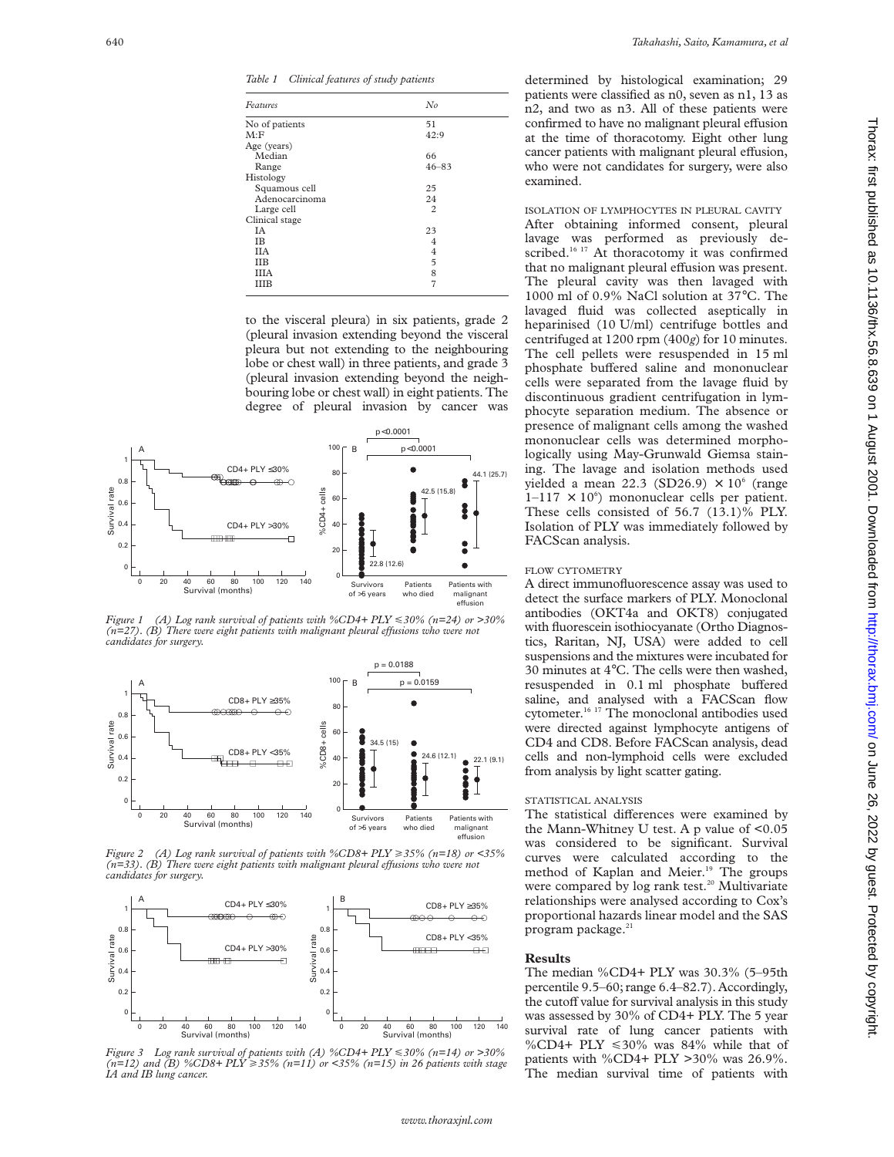*Table 1 Clinical features of study patients*

| Features       | No             |  |
|----------------|----------------|--|
| No of patients | 51             |  |
| M: F           | 42:9           |  |
| Age (years)    |                |  |
| Median         | 66             |  |
| Range          | $46 - 83$      |  |
| Histology      |                |  |
| Squamous cell  | 25             |  |
| Adenocarcinoma | 24             |  |
| Large cell     | $\overline{c}$ |  |
| Clinical stage |                |  |
| IΑ             | 23             |  |
| <b>IB</b>      | 4              |  |
| <b>IIA</b>     | 4              |  |
| <b>IIB</b>     | 5              |  |
| <b>IIIA</b>    | 8              |  |
| ШB             | $\overline{7}$ |  |

to the visceral pleura) in six patients, grade 2 (pleural invasion extending beyond the visceral pleura but not extending to the neighbouring lobe or chest wall) in three patients, and grade 3 (pleural invasion extending beyond the neighbouring lobe or chest wall) in eight patients. The degree of pleural invasion by cancer was



*Figure 1 (A) Log rank survival of patients with %CD4+ PLY* <*30% (n=24) or >30% (n*=27). *(B)* There were eight patients with malignant pleural effusions who were not *candidates for surgery.*



*Figure 2 (A) Log rank survival of patients with %CD8+ PLY* >*35% (n=18) or <35%*  $(n=33)$ . (B) There were eight patients with malignant pleural effusions who were not *candidates for surgery.*



*Figure 3 Log rank survival of patients with (A) %CD4+ PLY* <*30% (n=14) or >30% (n=12) and (B) %CD8+ PLY* >*35% (n=11) or <35% (n=15) in 26 patients with stage IA and IB lung cancer.*

determined by histological examination; 29 patients were classified as n0, seven as n1, 13 as n2, and two as n3. All of these patients were confirmed to have no malignant pleural effusion at the time of thoracotomy. Eight other lung cancer patients with malignant pleural effusion, who were not candidates for surgery, were also examined.

ISOLATION OF LYMPHOCYTES IN PLEURAL CAVITY After obtaining informed consent, pleural lavage was performed as previously described.<sup>16 17</sup> At thoracotomy it was confirmed that no malignant pleural effusion was present. The pleural cavity was then lavaged with 1000 ml of 0.9% NaCl solution at 37°C. The lavaged fluid was collected aseptically in heparinised (10 U/ml) centrifuge bottles and centrifuged at 1200 rpm (400*g*) for 10 minutes. The cell pellets were resuspended in 15 ml phosphate buffered saline and mononuclear cells were separated from the lavage fluid by discontinuous gradient centrifugation in lymphocyte separation medium. The absence or presence of malignant cells among the washed mononuclear cells was determined morphologically using May-Grunwald Giemsa staining. The lavage and isolation methods used yielded a mean 22.3 (SD26.9)  $\times$  10<sup>6</sup> (range  $1-117 \times 10^6$ ) mononuclear cells per patient. These cells consisted of 56.7 (13.1)% PLY. Isolation of PLY was immediately followed by FACScan analysis.

## FLOW CYTOMETRY

A direct immunofluorescence assay was used to detect the surface markers of PLY. Monoclonal antibodies (OKT4a and OKT8) conjugated with fluorescein isothiocyanate (Ortho Diagnostics, Raritan, NJ, USA) were added to cell suspensions and the mixtures were incubated for 30 minutes at 4°C. The cells were then washed, resuspended in 0.1 ml phosphate buffered saline, and analysed with a FACScan flow cytometer.16 17 The monoclonal antibodies used were directed against lymphocyte antigens of CD4 and CD8. Before FACScan analysis, dead cells and non-lymphoid cells were excluded from analysis by light scatter gating.

## STATISTICAL ANALYSIS

The statistical differences were examined by the Mann-Whitney U test. A p value of <0.05 was considered to be significant. Survival curves were calculated according to the method of Kaplan and Meier.<sup>19</sup> The groups were compared by log rank test.<sup>20</sup> Multivariate relationships were analysed according to Cox's proportional hazards linear model and the SAS program package. $21$ 

## **Results**

The median %CD4+ PLY was 30.3% (5–95th percentile 9.5–60; range 6.4–82.7). Accordingly, the cutoff value for survival analysis in this study was assessed by 30% of CD4+ PLY. The 5 year survival rate of lung cancer patients with %CD4+ PLY  $\leq 30\%$  was 84% while that of patients with %CD4+ PLY >30% was 26.9%. The median survival time of patients with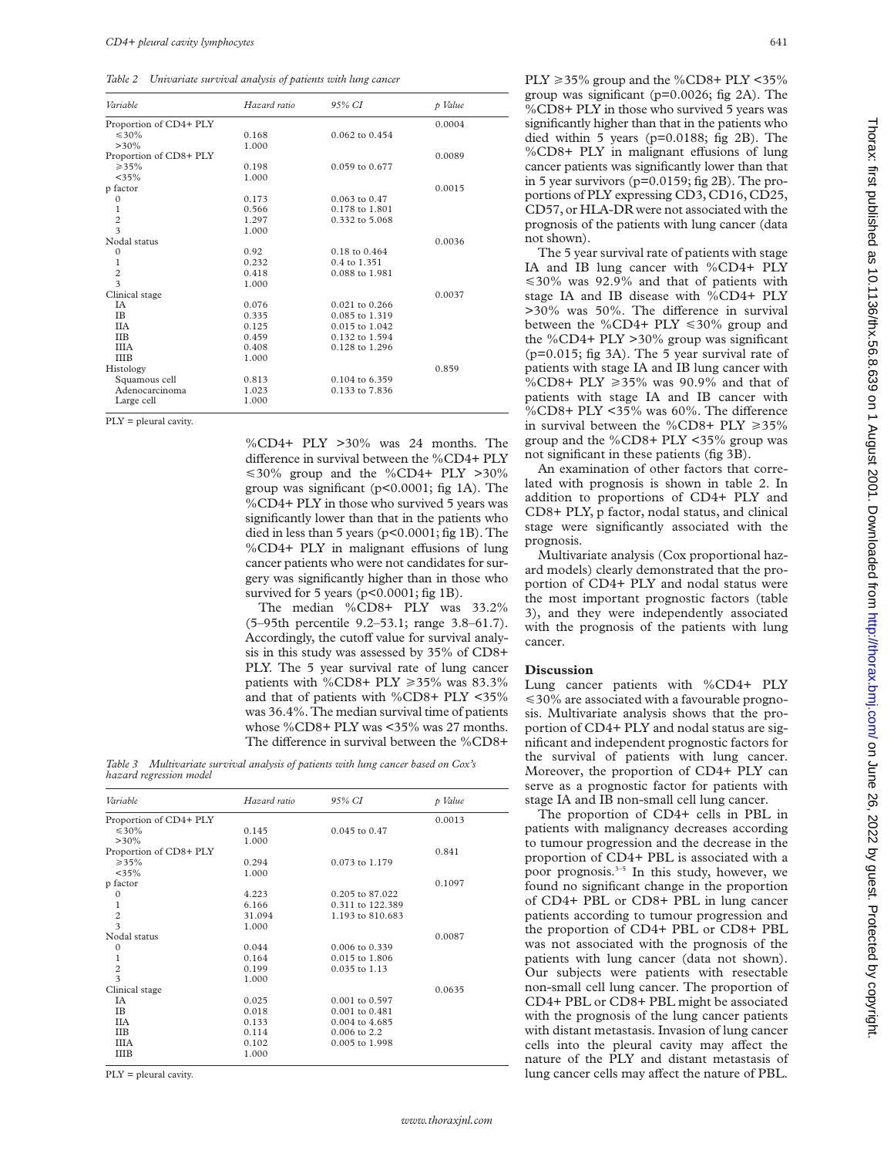*Table 2 Univariate survival analysis of patients with lung cancer*

| Variable               | Hazard ratio | 95% CI             | p Value |
|------------------------|--------------|--------------------|---------|
| Proportion of CD4+ PLY |              |                    | 0.0004  |
| $\leq 30\%$            | 0.168        | $0.062$ to $0.454$ |         |
| $>30\%$                | 1.000        |                    |         |
| Proportion of CD8+ PLY |              |                    | 0.0089  |
| $\geq 35\%$            | 0.198        | $0.059$ to $0.677$ |         |
| $<$ 35%                | 1.000        |                    |         |
| p factor               |              |                    | 0.0015  |
| $\mathbf{0}$           | 0.173        | $0.063$ to $0.47$  |         |
| 1                      | 0.566        | 0.178 to 1.801     |         |
| $\frac{2}{3}$          | 1.297        | 0.332 to 5.068     |         |
|                        | 1.000        |                    |         |
| Nodal status           |              |                    | 0.0036  |
| $\mathbf{0}$           | 0.92         | $0.18$ to $0.464$  |         |
| 1                      | 0.232        | 0.4 to 1.351       |         |
| $\frac{2}{3}$          | 0.418        | 0.088 to 1.981     |         |
|                        | 1.000        |                    |         |
| Clinical stage         |              |                    | 0.0037  |
| <b>IA</b>              | 0.076        | $0.021$ to $0.266$ |         |
| <b>IB</b>              | 0.335        | 0.085 to 1.319     |         |
| <b>IIA</b>             | 0.125        | $0.015$ to $1.042$ |         |
| <b>IIB</b>             | 0.459        | 0.132 to 1.594     |         |
| <b>IIIA</b>            | 0.408        | 0.128 to 1.296     |         |
| <b>IIIB</b>            | 1.000        |                    |         |
| Histology              |              |                    | 0.859   |
| Squamous cell          | 0.813        | 0.104 to 6.359     |         |
| Adenocarcinoma         | 1.023        | 0.133 to 7.836     |         |
| Large cell             | 1.000        |                    |         |

PLY = pleural cavity.

%CD4+ PLY >30% was 24 months. The difference in survival between the %CD4+ PLY  $\leq 30\%$  group and the %CD4+ PLY >30% group was significant (p<0.0001; fig 1A). The %CD4+ PLY in those who survived 5 years was significantly lower than that in the patients who died in less than 5 years (p<0.0001; fig 1B). The  $\%$ CD4+ PLY in malignant effusions of lung cancer patients who were not candidates for surgery was significantly higher than in those who survived for 5 years (p<0.0001; fig 1B).

The median %CD8+ PLY was 33.2% (5–95th percentile 9.2–53.1; range 3.8–61.7). Accordingly, the cutoff value for survival analysis in this study was assessed by 35% of CD8+ PLY. The 5 year survival rate of lung cancer patients with %CD8+ PLY  $\geq 35\%$  was 83.3% and that of patients with %CD8+ PLY <35% was 36.4%. The median survival time of patients whose %CD8+ PLY was <35% was 27 months. The difference in survival between the %CD8+

*Table 3 Multivariate survival analysis of patients with lung cancer based on Cox's hazard regression model*

| Variable                | Hazard ratio | 95% CI             | p Value |
|-------------------------|--------------|--------------------|---------|
| Proportion of CD4+ PLY  |              |                    | 0.0013  |
| $\leq 30\%$             | 0.145        | $0.045$ to $0.47$  |         |
| $>30\%$                 | 1.000        |                    |         |
| Proportion of CD8+ PLY  |              |                    | 0.841   |
| $\geq 35\%$             | 0.294        | 0.073 to 1.179     |         |
| $<$ 35%                 | 1.000        |                    |         |
| p factor                |              |                    | 0.1097  |
| $\mathbf{0}$            | 4.223        | 0.205 to 87.022    |         |
| 1                       | 6.166        | 0.311 to 122.389   |         |
| $\overline{c}$          | 31.094       | 1.193 to 810.683   |         |
| $\overline{\mathbf{3}}$ | 1.000        |                    |         |
| Nodal status            |              |                    | 0.0087  |
| $\Omega$                | 0.044        | 0.006 to 0.339     |         |
| 1                       | 0.164        | $0.015$ to $1.806$ |         |
| $\overline{c}$          | 0.199        | 0.035 to 1.13      |         |
| $\overline{\mathbf{3}}$ | 1.000        |                    |         |
| Clinical stage          |              |                    | 0.0635  |
| ΙA                      | 0.025        | 0.001 to 0.597     |         |
| IB                      | 0.018        | $0.001$ to $0.481$ |         |
| <b>IIA</b>              | 0.133        | $0.004$ to 4.685   |         |
| <b>IIB</b>              | 0.114        | 0.006 to 2.2       |         |
| <b>IIIA</b>             | 0.102        | 0.005 to 1.998     |         |
| <b>IIIB</b>             | 1.000        |                    |         |
|                         |              |                    |         |

PLY = pleural cavity.

PLY  $\geq$  35% group and the %CD8+ PLY <35% group was significant (p=0.0026; fig 2A). The %CD8+ PLY in those who survived 5 years was significantly higher than that in the patients who died within 5 years (p=0.0188; fig 2B). The %CD8+ PLY in malignant effusions of lung cancer patients was significantly lower than that in 5 year survivors (p=0.0159; fig 2B). The proportions of PLY expressing CD3, CD16, CD25, CD57, or HLA-DR were not associated with the prognosis of the patients with lung cancer (data not shown).

The 5 year survival rate of patients with stage IA and IB lung cancer with %CD4+ PLY  $\leq 30\%$  was 92.9% and that of patients with stage IA and IB disease with %CD4+ PLY  $>30\%$  was 50%. The difference in survival between the %CD4+ PLY  $\leq 30\%$  group and the %CD4+ PLY >30% group was significant (p=0.015; fig 3A). The 5 year survival rate of patients with stage IA and IB lung cancer with %CD8+ PLY  $\geq 35\%$  was 90.9% and that of patients with stage IA and IB cancer with %CD8+ PLY <35% was  $60\%$ . The difference in survival between the %CD8+ PLY  $\geq 35\%$ group and the %CD8+ PLY <35% group was not significant in these patients (fig 3B).

An examination of other factors that correlated with prognosis is shown in table 2. In addition to proportions of CD4+ PLY and CD8+ PLY, p factor, nodal status, and clinical stage were significantly associated with the prognosis.

Multivariate analysis (Cox proportional hazard models) clearly demonstrated that the proportion of CD4+ PLY and nodal status were the most important prognostic factors (table 3), and they were independently associated with the prognosis of the patients with lung cancer.

## **Discussion**

Lung cancer patients with %CD4+ PLY  $\leq$  30% are associated with a favourable prognosis. Multivariate analysis shows that the proportion of CD4+ PLY and nodal status are significant and independent prognostic factors for the survival of patients with lung cancer. Moreover, the proportion of CD4+ PLY can serve as a prognostic factor for patients with stage IA and IB non-small cell lung cancer.

The proportion of CD4+ cells in PBL in patients with malignancy decreases according to tumour progression and the decrease in the proportion of CD4+ PBL is associated with a poor prognosis.<sup>3-5</sup> In this study, however, we found no significant change in the proportion of CD4+ PBL or CD8+ PBL in lung cancer patients according to tumour progression and the proportion of CD4+ PBL or CD8+ PBL was not associated with the prognosis of the patients with lung cancer (data not shown). Our subjects were patients with resectable non-small cell lung cancer. The proportion of CD4+ PBL or CD8+ PBL might be associated with the prognosis of the lung cancer patients with distant metastasis. Invasion of lung cancer cells into the pleural cavity may affect the nature of the PLY and distant metastasis of lung cancer cells may affect the nature of PBL.